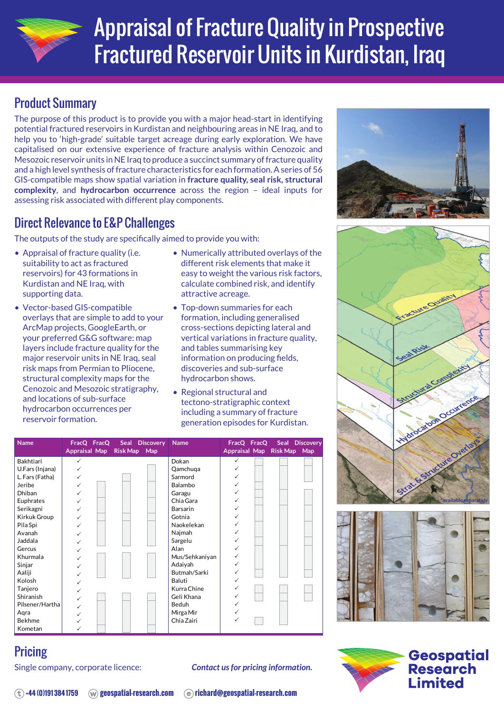

# Appraisal of Fracture Quality in Prospective Fractured Reservoir Units in Kurdistan, Iraq

## Product Summary

The purpose of this product is to provide you with a major head-start in identifying potential fractured reservoirs in Kurdistan and neighbouring areas in NE Iraq, and to help you to 'high-grade' suitable target acreage during early exploration. We have capitalised on our extensive experience of fracture analysis within Cenozoic and Mesozoic reservoir units in NE Iraq to produce a succinct summary of fracture quality and a high level synthesis of fracture characteristics for each formation. A series of 56 GIS-compatible maps show spatial variation in **fracture quality, seal risk, structural complexity**, and **hydrocarbon occurrence** across the region – ideal inputs for assessing risk associated with different play components.

### Direct Relevance to E&P Challenges

The outputs of the study are specifically aimed to provide you with:

- Appraisal of fracture quality (i.e. suitability to act as fractured reservoirs) for 43 formations in Kurdistan and NE Iraq, with supporting data.
- Vector-based GIS-compatible overlays that are simple to add to your ArcMap projects, GoogleEarth, or your preferred G&G software: map layers include fracture quality for the major reservoir units in NE Iraq, seal risk maps from Permian to Pliocene, structural complexity maps for the Cenozoic and Mesozoic stratigraphy, and locations of sub-surface hydrocarbon occurrences per reservoir formation.
- Numerically attributed overlays of the different risk elements that make it easy to weight the various risk factors, calculate combined risk, and identify attractive acreage.
- Top-down summaries for each formation, including generalised cross-sections depicting lateral and vertical variations in fracture quality, and tables summarising key information on producing fields, discoveries and sub-surface hydrocarbon shows.
- Regional structural and tectono-stratigraphic context including a summary of fracture generation episodes for Kurdistan.

| <b>Name</b>     | FracQ FracQ Seal Discovery |              | <b>Name</b>    | FracQ FracQ  | <b>Seal</b>                | <b>Discovery</b> |
|-----------------|----------------------------|--------------|----------------|--------------|----------------------------|------------------|
|                 | Appraisal Map              | Risk Map Map |                |              | Appraisal Map Risk Map Map |                  |
| Bakhtiari       | ✓                          |              | Dokan          | ✓            |                            |                  |
| U.Fars (Injana) | $\checkmark$               |              | Qamchuqa       | ✓            |                            |                  |
| L. Fars (Fatha) | $\checkmark$               |              | Sarmord        |              |                            |                  |
| Jeribe          | $\checkmark$               |              | Balambo        |              |                            |                  |
| Dhiban          | ✓                          |              | Garagu         |              |                            |                  |
| Euphrates       | $\checkmark$               |              | Chia Gara      |              |                            |                  |
| Serikagni       | ✓                          |              | Barsarin       |              |                            |                  |
| Kirkuk Group    | $\checkmark$               |              | Gotnia         |              |                            |                  |
| Pila Spi        | ✓                          |              | Naokelekan     |              |                            |                  |
| Avanah          | ✓                          |              | Najmah         | ✓            |                            |                  |
| Jaddala         | ✓                          |              | Sargelu        |              |                            |                  |
| Gercus          | ✓                          |              | Alan           | ✓            |                            |                  |
| Khurmala        | ✓                          |              | Mus/Sehkaniyan | ✓            |                            |                  |
| Sinjar          | ✓                          |              | Adaiyah        | $\checkmark$ |                            |                  |
| Aaliji          | ✓                          |              | Butmah/Sarki   | ✓            |                            |                  |
| Kolosh          | ✓                          |              | Baluti         | ✓            |                            |                  |
| Tanjero         | ✓                          |              | Kurra Chine    | ✓            |                            |                  |
| Shiranish       | $\checkmark$               |              | Geli Khana     | ✓            |                            |                  |
| Pilsener/Hartha | ✓                          |              | Beduh          |              |                            |                  |
| Agra            |                            |              | Mirga Mir      |              |                            |                  |
| Bekhme          |                            |              | Chia Zairi     |              |                            |                  |
| Kometan         |                            |              |                |              |                            |                  |







# **Pricing**

Single company, corporate licence:

*Contact us for pricing information.*